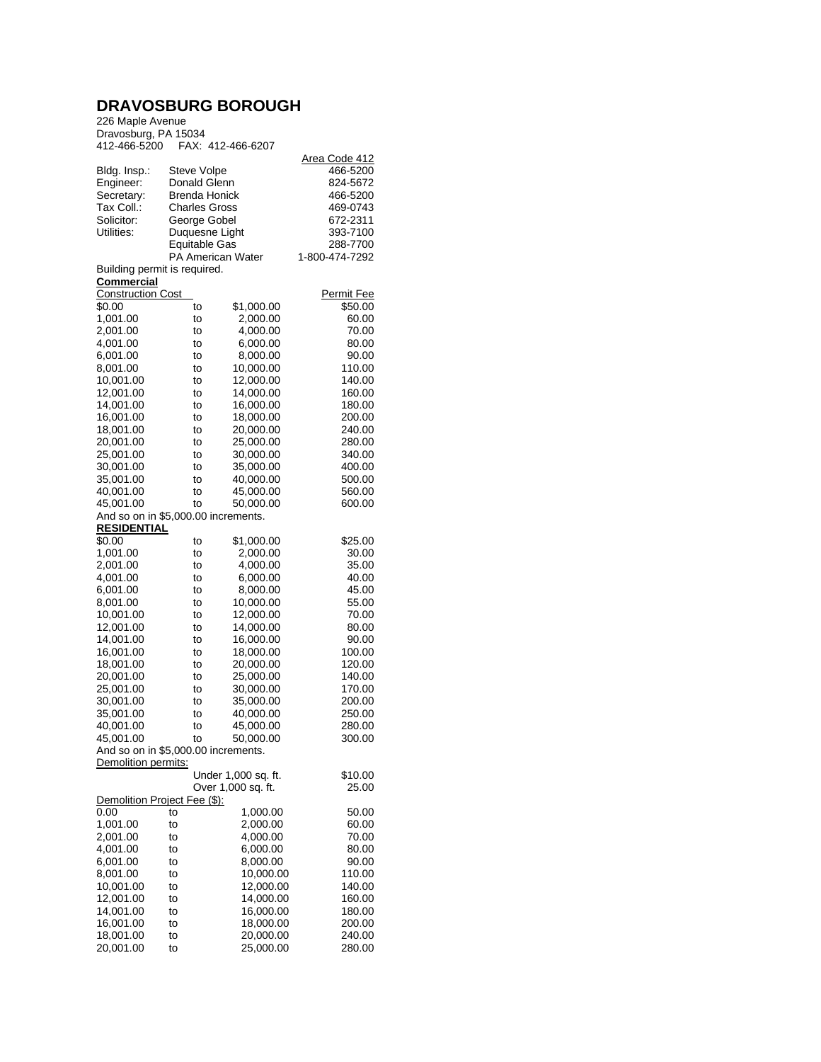## **DRAVOSBURG BOROUGH**

226 Maple Avenue Dravosburg, PA 15034 412-466-5200 FAX: 412-466-6207

| 4 LZ 400 0ZUU                       |                      | <b>FAA. 412-400-0207</b> |                   |  |  |  |
|-------------------------------------|----------------------|--------------------------|-------------------|--|--|--|
|                                     |                      |                          | Area Code 412     |  |  |  |
| Bldg. Insp.:                        | Steve Volpe          |                          | 466-5200          |  |  |  |
| Engineer:                           | Donald Glenn         |                          | 824-5672          |  |  |  |
| Secretary:                          | <b>Brenda Honick</b> |                          | 466-5200          |  |  |  |
| Tax Coll.:                          | <b>Charles Gross</b> |                          | 469-0743          |  |  |  |
| Solicitor:                          | George Gobel         |                          | 672-2311          |  |  |  |
| Utilities:                          |                      | Duquesne Light           | 393-7100          |  |  |  |
|                                     | <b>Equitable Gas</b> |                          | 288-7700          |  |  |  |
|                                     |                      | <b>PA American Water</b> | 1-800-474-7292    |  |  |  |
| Building permit is required.        |                      |                          |                   |  |  |  |
| Commercial                          |                      |                          |                   |  |  |  |
| <b>Construction Cost</b>            |                      |                          | <b>Permit Fee</b> |  |  |  |
| \$0.00                              | to                   | \$1,000.00               | \$50.00           |  |  |  |
| 1,001.00                            | to                   | 2,000.00                 | 60.00             |  |  |  |
| 2,001.00                            | to                   | 4,000.00                 | 70.00             |  |  |  |
| 4,001.00                            | to                   | 6,000.00                 | 80.00             |  |  |  |
| 6,001.00                            | to                   | 8,000.00                 | 90.00             |  |  |  |
| 8,001.00                            | to                   | 10,000.00                | 110.00            |  |  |  |
| 10,001.00                           | to                   | 12,000.00                | 140.00            |  |  |  |
| 12,001.00                           | to                   | 14,000.00                | 160.00            |  |  |  |
| 14,001.00                           | to                   | 16,000.00                | 180.00            |  |  |  |
| 16,001.00                           | to                   | 18,000.00                | 200.00            |  |  |  |
| 18,001.00                           | to                   | 20,000.00                | 240.00            |  |  |  |
| 20,001.00                           | to                   | 25.000.00                | 280.00            |  |  |  |
| 25,001.00                           | to                   | 30,000.00                | 340.00            |  |  |  |
| 30,001.00                           | to                   | 35,000.00                | 400.00            |  |  |  |
| 35,001.00                           | to                   | 40,000.00                | 500.00            |  |  |  |
| 40,001.00                           | to                   | 45,000.00                | 560.00            |  |  |  |
| 45,001.00                           | to                   | 50,000.00                | 600.00            |  |  |  |
| And so on in \$5,000.00 increments. |                      |                          |                   |  |  |  |
| <b>RESIDENTIAL</b>                  |                      |                          |                   |  |  |  |
| \$0.00                              | to                   | \$1,000.00               | \$25.00           |  |  |  |
| 1,001.00                            | to                   | 2,000.00                 | 30.00             |  |  |  |
| 2,001.00                            | to                   | 4,000.00                 | 35.00             |  |  |  |
| 4,001.00                            | to                   | 6,000.00                 | 40.00             |  |  |  |
| 6,001.00                            | to                   | 8,000.00                 | 45.00             |  |  |  |
| 8,001.00                            | to                   | 10,000.00                | 55.00             |  |  |  |
| 10,001.00                           | to                   | 12,000.00                | 70.00             |  |  |  |
| 12,001.00                           | to                   | 14,000.00                | 80.00             |  |  |  |
| 14,001.00                           | to                   | 16,000.00                | 90.00             |  |  |  |
| 16,001.00                           | to                   | 18,000.00                | 100.00            |  |  |  |
| 18,001.00                           | to                   | 20,000.00                | 120.00            |  |  |  |
| 20,001.00<br>25,001.00              | to                   | 25,000.00                | 140.00<br>170.00  |  |  |  |
|                                     | to                   | 30,000.00                |                   |  |  |  |
| 30,001.00<br>35,001.00              | to<br>to             | 35,000.00                | 200.00<br>250.00  |  |  |  |
|                                     |                      | 40,000.00                | 280.00            |  |  |  |
| 40,001.00<br>45,001.00              | to                   | 45,000.00                | 300.00            |  |  |  |
|                                     | to                   | 50,000.00                |                   |  |  |  |
| And so on in \$5,000.00 increments. |                      |                          |                   |  |  |  |
| Demolition permits:                 |                      | Under 1,000 sq. ft.      | \$10.00           |  |  |  |
|                                     |                      | Over 1,000 sq. ft.       | 25.00             |  |  |  |
| Demolition Project Fee (\$):        |                      |                          |                   |  |  |  |
| 0.00                                | to                   | 1,000.00                 | 50.00             |  |  |  |
| 1,001.00                            | to                   | 2,000.00                 | 60.00             |  |  |  |
| 2,001.00                            | to                   | 4,000.00                 | 70.00             |  |  |  |
| 4,001.00                            | to                   | 6,000.00                 | 80.00             |  |  |  |
| 6,001.00                            | to                   | 8,000.00                 | 90.00             |  |  |  |
| 8,001.00                            | to                   | 10,000.00                | 110.00            |  |  |  |
| 10,001.00                           | to                   | 12,000.00                | 140.00            |  |  |  |
| 12,001.00                           | to                   | 14,000.00                | 160.00            |  |  |  |
| 14,001.00                           | to                   | 16,000.00                | 180.00            |  |  |  |
| 16,001.00                           | to                   | 18,000.00                | 200.00            |  |  |  |
| 18,001.00                           | to                   | 20,000.00                | 240.00            |  |  |  |
| 20,001.00                           | to                   | 25,000.00                | 280.00            |  |  |  |
|                                     |                      |                          |                   |  |  |  |